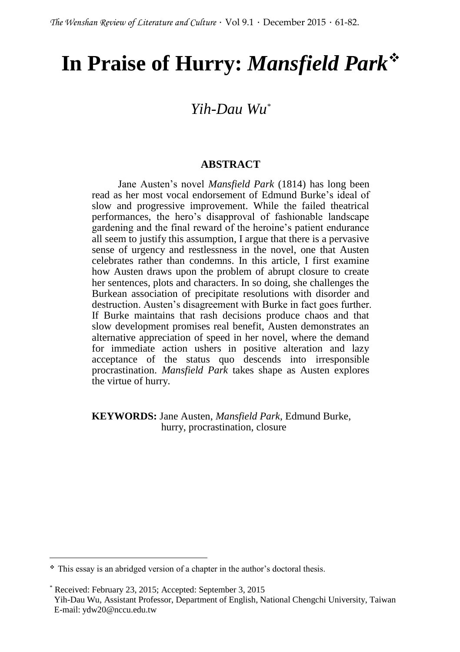# **In Praise of Hurry:** *Mansfield Park*

# *Yih-Dau Wu\**

### **ABSTRACT**

Jane Austen's novel *Mansfield Park* (1814) has long been read as her most vocal endorsement of Edmund Burke's ideal of slow and progressive improvement. While the failed theatrical performances, the hero's disapproval of fashionable landscape gardening and the final reward of the heroine's patient endurance all seem to justify this assumption, I argue that there is a pervasive sense of urgency and restlessness in the novel, one that Austen celebrates rather than condemns. In this article, I first examine how Austen draws upon the problem of abrupt closure to create her sentences, plots and characters. In so doing, she challenges the Burkean association of precipitate resolutions with disorder and destruction. Austen's disagreement with Burke in fact goes further. If Burke maintains that rash decisions produce chaos and that slow development promises real benefit, Austen demonstrates an alternative appreciation of speed in her novel, where the demand for immediate action ushers in positive alteration and lazy acceptance of the status quo descends into irresponsible procrastination. *Mansfield Park* takes shape as Austen explores the virtue of hurry.

#### **KEYWORDS:** Jane Austen, *Mansfield Park*, Edmund Burke, hurry, procrastination, closure

 $\overline{\phantom{a}}$ 

This essay is an abridged version of a chapter in the author's doctoral thesis.

Received: February 23, 2015; Accepted: September 3, 2015

Yih-Dau Wu, Assistant Professor, Department of English, National Chengchi University, Taiwan E-mail: ydw20@nccu.edu.tw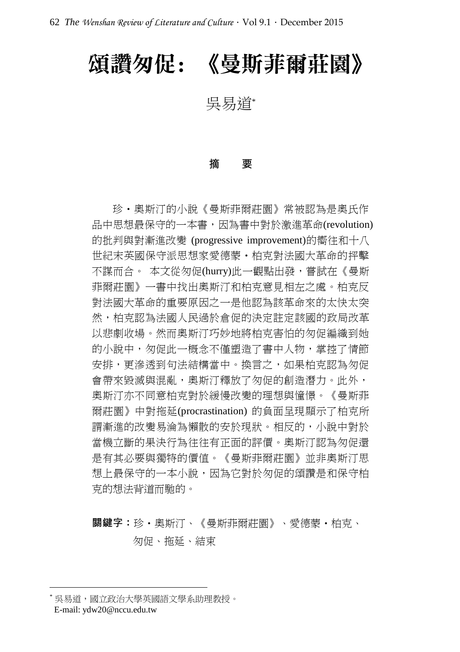# 頌讚匆促: 《曼斯菲爾莊園》

吳易道\*

#### 摘 要

珍·奧斯汀的小說《曼斯菲爾莊園》常被認為是奧氏作 品中思想最保守的一本書,因為書中對於激進革命(revolution) 的批判與對漸進改變 (progressive improvement)的嚮往和十八 世紀末英國保守派思想家愛德蒙‧柏克對法國大革命的抨擊 不謀而合。 本文從匆促(hurry)此一觀點出發,嘗試在《曼斯 菲爾莊園》一書中找出奧斯汀和柏克意見相左之處。柏克反 對法國大革命的重要原因之一是他認為該革命來的太快太突 然,柏克認為法國人民過於倉促的決定註定該國的政局改革 以悲劇收場。然而奧斯汀巧妙地將柏克害怕的匆促編織到她 的小說中,匆促此一概念不僅塑造了書中人物,掌控了情節 安排,更滲透到句法結構當中。換言之,如果柏克認為匆促 會帶來毀滅與混亂, 奧斯汀釋放了匆促的創浩潛力。此外, 奧斯汀亦不同意柏克對於緩慢改變的理想與憧憬。《曼斯菲 爾莊園》中對拖延(procrastination) 的負面呈現顯示了柏克所 謂漸進的改變易淪為懶散的安於現狀。相反的,小說中對於 當機立斷的果決行為往往有正面的評價。奧斯汀認為匆促還 是有其必要與獨特的價值。《曼斯菲爾莊園》並非奧斯汀思 想上最保守的一本小說,因為它對於匆促的頌讚是和保守柏 克的想法背道而馳的。

# 關鍵字:珍‧奧斯汀、《曼斯菲爾莊園》、愛德蒙‧柏克、 匆促、拖延、結束

<sup>\*</sup> 吳易道,國立政治大學英國語文學系助理教授。 E-mail: ydw20@nccu.edu.tw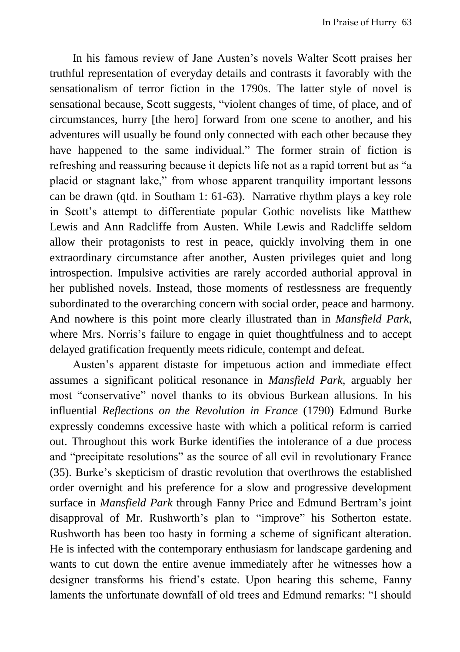In his famous review of Jane Austen's novels Walter Scott praises her truthful representation of everyday details and contrasts it favorably with the sensationalism of terror fiction in the 1790s. The latter style of novel is sensational because, Scott suggests, "violent changes of time, of place, and of circumstances, hurry [the hero] forward from one scene to another, and his adventures will usually be found only connected with each other because they have happened to the same individual." The former strain of fiction is refreshing and reassuring because it depicts life not as a rapid torrent but as "a placid or stagnant lake," from whose apparent tranquility important lessons can be drawn (qtd. in Southam 1: 61-63). Narrative rhythm plays a key role in Scott's attempt to differentiate popular Gothic novelists like Matthew Lewis and Ann Radcliffe from Austen. While Lewis and Radcliffe seldom allow their protagonists to rest in peace, quickly involving them in one extraordinary circumstance after another, Austen privileges quiet and long introspection. Impulsive activities are rarely accorded authorial approval in her published novels. Instead, those moments of restlessness are frequently subordinated to the overarching concern with social order, peace and harmony. And nowhere is this point more clearly illustrated than in *Mansfield Park*, where Mrs. Norris's failure to engage in quiet thoughtfulness and to accept delayed gratification frequently meets ridicule, contempt and defeat.

Austen's apparent distaste for impetuous action and immediate effect assumes a significant political resonance in *Mansfield Park*, arguably her most "conservative" novel thanks to its obvious Burkean allusions. In his influential *Reflections on the Revolution in France* (1790) Edmund Burke expressly condemns excessive haste with which a political reform is carried out. Throughout this work Burke identifies the intolerance of a due process and "precipitate resolutions" as the source of all evil in revolutionary France (35). Burke's skepticism of drastic revolution that overthrows the established order overnight and his preference for a slow and progressive development surface in *Mansfield Park* through Fanny Price and Edmund Bertram's joint disapproval of Mr. Rushworth's plan to "improve" his Sotherton estate. Rushworth has been too hasty in forming a scheme of significant alteration. He is infected with the contemporary enthusiasm for landscape gardening and wants to cut down the entire avenue immediately after he witnesses how a designer transforms his friend's estate. Upon hearing this scheme, Fanny laments the unfortunate downfall of old trees and Edmund remarks: "I should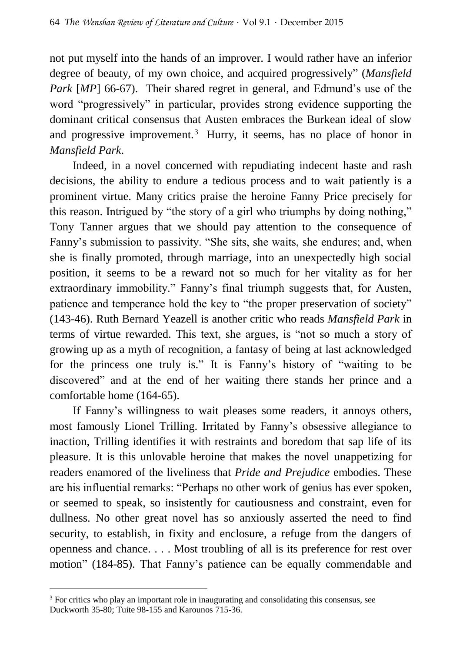not put myself into the hands of an improver. I would rather have an inferior degree of beauty, of my own choice, and acquired progressively" (*Mansfield Park [MP]* 66-67). Their shared regret in general, and Edmund's use of the word "progressively" in particular, provides strong evidence supporting the dominant critical consensus that Austen embraces the Burkean ideal of slow and progressive improvement.<sup>3</sup> Hurry, it seems, has no place of honor in *Mansfield Park*.

Indeed, in a novel concerned with repudiating indecent haste and rash decisions, the ability to endure a tedious process and to wait patiently is a prominent virtue. Many critics praise the heroine Fanny Price precisely for this reason. Intrigued by "the story of a girl who triumphs by doing nothing," Tony Tanner argues that we should pay attention to the consequence of Fanny's submission to passivity. "She sits, she waits, she endures; and, when she is finally promoted, through marriage, into an unexpectedly high social position, it seems to be a reward not so much for her vitality as for her extraordinary immobility." Fanny's final triumph suggests that, for Austen, patience and temperance hold the key to "the proper preservation of society" (143-46). Ruth Bernard Yeazell is another critic who reads *Mansfield Park* in terms of virtue rewarded. This text, she argues, is "not so much a story of growing up as a myth of recognition, a fantasy of being at last acknowledged for the princess one truly is." It is Fanny's history of "waiting to be discovered" and at the end of her waiting there stands her prince and a comfortable home (164-65).

If Fanny's willingness to wait pleases some readers, it annoys others, most famously Lionel Trilling. Irritated by Fanny's obsessive allegiance to inaction, Trilling identifies it with restraints and boredom that sap life of its pleasure. It is this unlovable heroine that makes the novel unappetizing for readers enamored of the liveliness that *Pride and Prejudice* embodies. These are his influential remarks: "Perhaps no other work of genius has ever spoken, or seemed to speak, so insistently for cautiousness and constraint, even for dullness. No other great novel has so anxiously asserted the need to find security, to establish, in fixity and enclosure, a refuge from the dangers of openness and chance. . . . Most troubling of all is its preference for rest over motion" (184-85). That Fanny's patience can be equally commendable and

 $\overline{\phantom{a}}$ 

<sup>&</sup>lt;sup>3</sup> For critics who play an important role in inaugurating and consolidating this consensus, see Duckworth 35-80; Tuite 98-155 and Karounos 715-36.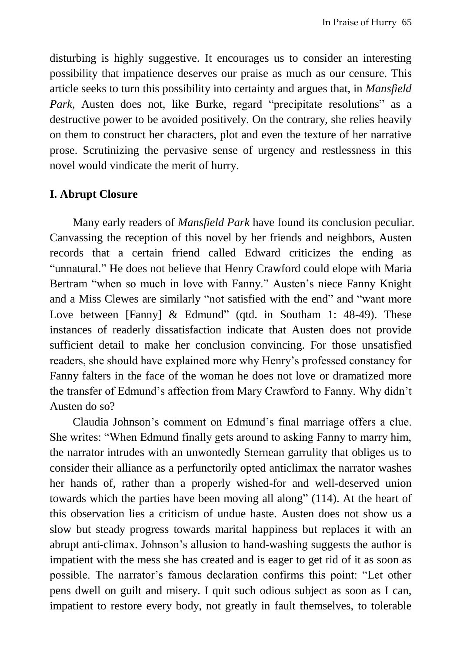disturbing is highly suggestive. It encourages us to consider an interesting possibility that impatience deserves our praise as much as our censure. This article seeks to turn this possibility into certainty and argues that, in *Mansfield Park*, Austen does not, like Burke, regard "precipitate resolutions" as a destructive power to be avoided positively. On the contrary, she relies heavily on them to construct her characters, plot and even the texture of her narrative prose. Scrutinizing the pervasive sense of urgency and restlessness in this novel would vindicate the merit of hurry.

## **I. Abrupt Closure**

Many early readers of *Mansfield Park* have found its conclusion peculiar. Canvassing the reception of this novel by her friends and neighbors, Austen records that a certain friend called Edward criticizes the ending as "unnatural." He does not believe that Henry Crawford could elope with Maria Bertram "when so much in love with Fanny." Austen's niece Fanny Knight and a Miss Clewes are similarly "not satisfied with the end" and "want more Love between [Fanny] & Edmund" (qtd. in Southam 1: 48-49). These instances of readerly dissatisfaction indicate that Austen does not provide sufficient detail to make her conclusion convincing. For those unsatisfied readers, she should have explained more why Henry's professed constancy for Fanny falters in the face of the woman he does not love or dramatized more the transfer of Edmund's affection from Mary Crawford to Fanny. Why didn't Austen do so?

Claudia Johnson's comment on Edmund's final marriage offers a clue. She writes: "When Edmund finally gets around to asking Fanny to marry him, the narrator intrudes with an unwontedly Sternean garrulity that obliges us to consider their alliance as a perfunctorily opted anticlimax the narrator washes her hands of, rather than a properly wished-for and well-deserved union towards which the parties have been moving all along" (114). At the heart of this observation lies a criticism of undue haste. Austen does not show us a slow but steady progress towards marital happiness but replaces it with an abrupt anti-climax. Johnson's allusion to hand-washing suggests the author is impatient with the mess she has created and is eager to get rid of it as soon as possible. The narrator's famous declaration confirms this point: "Let other pens dwell on guilt and misery. I quit such odious subject as soon as I can, impatient to restore every body, not greatly in fault themselves, to tolerable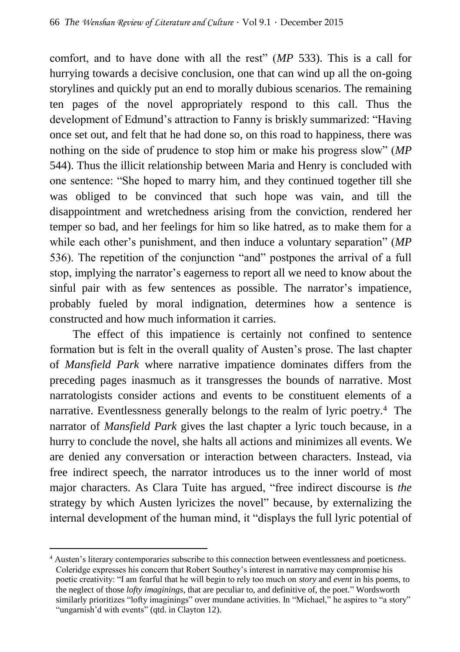comfort, and to have done with all the rest" (*MP* 533). This is a call for hurrying towards a decisive conclusion, one that can wind up all the on-going storylines and quickly put an end to morally dubious scenarios. The remaining ten pages of the novel appropriately respond to this call. Thus the development of Edmund's attraction to Fanny is briskly summarized: "Having once set out, and felt that he had done so, on this road to happiness, there was nothing on the side of prudence to stop him or make his progress slow" (*MP*  544). Thus the illicit relationship between Maria and Henry is concluded with one sentence: "She hoped to marry him, and they continued together till she was obliged to be convinced that such hope was vain, and till the disappointment and wretchedness arising from the conviction, rendered her temper so bad, and her feelings for him so like hatred, as to make them for a while each other's punishment, and then induce a voluntary separation" (*MP*  536). The repetition of the conjunction "and" postpones the arrival of a full stop, implying the narrator's eagerness to report all we need to know about the sinful pair with as few sentences as possible. The narrator's impatience, probably fueled by moral indignation, determines how a sentence is constructed and how much information it carries.

The effect of this impatience is certainly not confined to sentence formation but is felt in the overall quality of Austen's prose. The last chapter of *Mansfield Park* where narrative impatience dominates differs from the preceding pages inasmuch as it transgresses the bounds of narrative. Most narratologists consider actions and events to be constituent elements of a narrative. Eventlessness generally belongs to the realm of lyric poetry.<sup>4</sup> The narrator of *Mansfield Park* gives the last chapter a lyric touch because, in a hurry to conclude the novel, she halts all actions and minimizes all events. We are denied any conversation or interaction between characters. Instead, via free indirect speech, the narrator introduces us to the inner world of most major characters. As Clara Tuite has argued, "free indirect discourse is *the*  strategy by which Austen lyricizes the novel" because, by externalizing the internal development of the human mind, it "displays the full lyric potential of

 $\overline{\phantom{a}}$ <sup>4</sup> Austen's literary contemporaries subscribe to this connection between eventlessness and poeticness. Coleridge expresses his concern that Robert Southey's interest in narrative may compromise his poetic creativity: "I am fearful that he will begin to rely too much on *story* and *event* in his poems, to the neglect of those *lofty imaginings*, that are peculiar to, and definitive of, the poet." Wordsworth similarly prioritizes "lofty imaginings" over mundane activities. In "Michael," he aspires to "a story" "ungarnish'd with events" (qtd. in Clayton 12).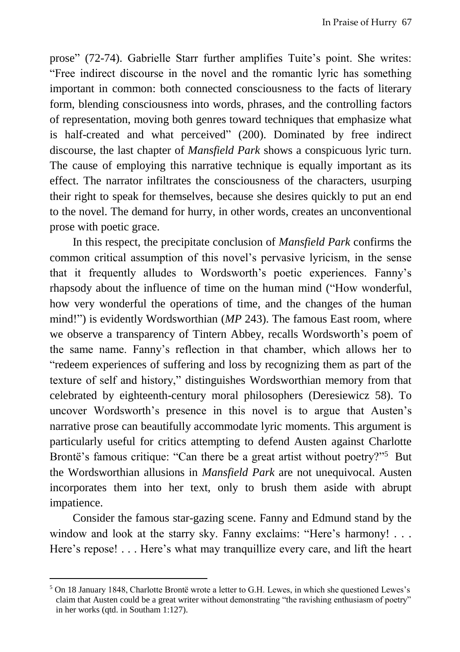prose" (72-74). Gabrielle Starr further amplifies Tuite's point. She writes: "Free indirect discourse in the novel and the romantic lyric has something important in common: both connected consciousness to the facts of literary form, blending consciousness into words, phrases, and the controlling factors of representation, moving both genres toward techniques that emphasize what is half-created and what perceived" (200). Dominated by free indirect discourse, the last chapter of *Mansfield Park* shows a conspicuous lyric turn. The cause of employing this narrative technique is equally important as its effect. The narrator infiltrates the consciousness of the characters, usurping their right to speak for themselves, because she desires quickly to put an end to the novel. The demand for hurry, in other words, creates an unconventional prose with poetic grace.

In this respect, the precipitate conclusion of *Mansfield Park* confirms the common critical assumption of this novel's pervasive lyricism, in the sense that it frequently alludes to Wordsworth's poetic experiences. Fanny's rhapsody about the influence of time on the human mind ("How wonderful, how very wonderful the operations of time, and the changes of the human mind!") is evidently Wordsworthian (*MP* 243). The famous East room, where we observe a transparency of Tintern Abbey, recalls Wordsworth's poem of the same name. Fanny's reflection in that chamber, which allows her to "redeem experiences of suffering and loss by recognizing them as part of the texture of self and history," distinguishes Wordsworthian memory from that celebrated by eighteenth-century moral philosophers (Deresiewicz 58). To uncover Wordsworth's presence in this novel is to argue that Austen's narrative prose can beautifully accommodate lyric moments. This argument is particularly useful for critics attempting to defend Austen against Charlotte Brontё's famous critique: "Can there be a great artist without poetry?"<sup>5</sup> But the Wordsworthian allusions in *Mansfield Park* are not unequivocal. Austen incorporates them into her text, only to brush them aside with abrupt impatience.

Consider the famous star-gazing scene. Fanny and Edmund stand by the window and look at the starry sky. Fanny exclaims: "Here's harmony! . . . Here's repose! . . . Here's what may tranquillize every care, and lift the heart

 $\overline{a}$ 

<sup>5</sup> On 18 January 1848, Charlotte Brontё wrote a letter to G.H. Lewes, in which she questioned Lewes's claim that Austen could be a great writer without demonstrating "the ravishing enthusiasm of poetry" in her works (qtd. in Southam 1:127).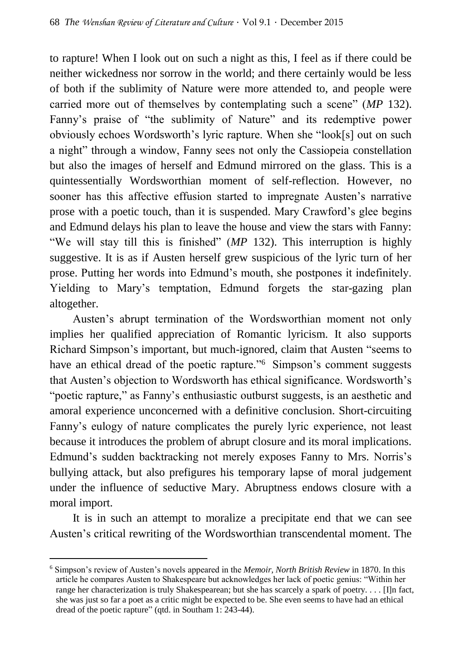to rapture! When I look out on such a night as this, I feel as if there could be neither wickedness nor sorrow in the world; and there certainly would be less of both if the sublimity of Nature were more attended to, and people were carried more out of themselves by contemplating such a scene" (*MP* 132). Fanny's praise of "the sublimity of Nature" and its redemptive power obviously echoes Wordsworth's lyric rapture. When she "look[s] out on such a night" through a window, Fanny sees not only the Cassiopeia constellation but also the images of herself and Edmund mirrored on the glass. This is a quintessentially Wordsworthian moment of self-reflection. However, no sooner has this affective effusion started to impregnate Austen's narrative prose with a poetic touch, than it is suspended. Mary Crawford's glee begins and Edmund delays his plan to leave the house and view the stars with Fanny: "We will stay till this is finished" (*MP* 132). This interruption is highly suggestive. It is as if Austen herself grew suspicious of the lyric turn of her prose. Putting her words into Edmund's mouth, she postpones it indefinitely. Yielding to Mary's temptation, Edmund forgets the star-gazing plan altogether.

Austen's abrupt termination of the Wordsworthian moment not only implies her qualified appreciation of Romantic lyricism. It also supports Richard Simpson's important, but much-ignored, claim that Austen "seems to have an ethical dread of the poetic rapture."<sup>6</sup> Simpson's comment suggests that Austen's objection to Wordsworth has ethical significance. Wordsworth's "poetic rapture," as Fanny's enthusiastic outburst suggests, is an aesthetic and amoral experience unconcerned with a definitive conclusion. Short-circuiting Fanny's eulogy of nature complicates the purely lyric experience, not least because it introduces the problem of abrupt closure and its moral implications. Edmund's sudden backtracking not merely exposes Fanny to Mrs. Norris's bullying attack, but also prefigures his temporary lapse of moral judgement under the influence of seductive Mary. Abruptness endows closure with a moral import.

It is in such an attempt to moralize a precipitate end that we can see Austen's critical rewriting of the Wordsworthian transcendental moment. The

 $\overline{a}$ <sup>6</sup> Simpson's review of Austen's novels appeared in the *Memoir, North British Review* in 1870. In this article he compares Austen to Shakespeare but acknowledges her lack of poetic genius: "Within her range her characterization is truly Shakespearean; but she has scarcely a spark of poetry. . . . [I]n fact, she was just so far a poet as a critic might be expected to be. She even seems to have had an ethical dread of the poetic rapture" (qtd. in Southam 1: 243-44).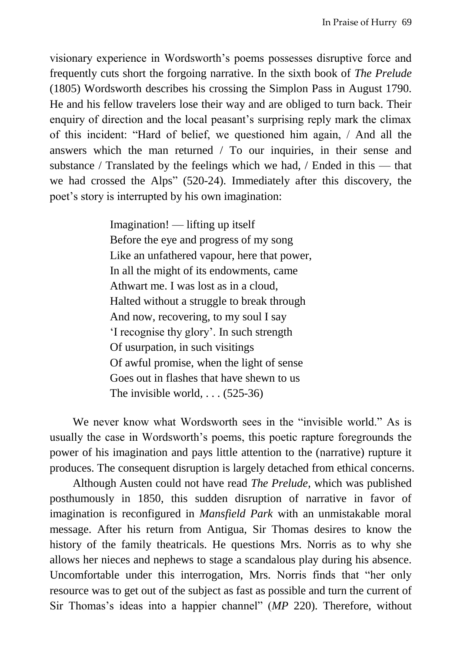visionary experience in Wordsworth's poems possesses disruptive force and frequently cuts short the forgoing narrative. In the sixth book of *The Prelude* (1805) Wordsworth describes his crossing the Simplon Pass in August 1790. He and his fellow travelers lose their way and are obliged to turn back. Their enquiry of direction and the local peasant's surprising reply mark the climax of this incident: "Hard of belief, we questioned him again, / And all the answers which the man returned / To our inquiries, in their sense and substance / Translated by the feelings which we had, / Ended in this — that we had crossed the Alps" (520-24). Immediately after this discovery, the poet's story is interrupted by his own imagination:

> Imagination! — lifting up itself Before the eye and progress of my song Like an unfathered vapour, here that power, In all the might of its endowments, came Athwart me. I was lost as in a cloud, Halted without a struggle to break through And now, recovering, to my soul I say 'I recognise thy glory'. In such strength Of usurpation, in such visitings Of awful promise, when the light of sense Goes out in flashes that have shewn to us The invisible world,  $\ldots$  (525-36)

We never know what Wordsworth sees in the "invisible world." As is usually the case in Wordsworth's poems, this poetic rapture foregrounds the power of his imagination and pays little attention to the (narrative) rupture it produces. The consequent disruption is largely detached from ethical concerns.

Although Austen could not have read *The Prelude*, which was published posthumously in 1850, this sudden disruption of narrative in favor of imagination is reconfigured in *Mansfield Park* with an unmistakable moral message. After his return from Antigua, Sir Thomas desires to know the history of the family theatricals. He questions Mrs. Norris as to why she allows her nieces and nephews to stage a scandalous play during his absence. Uncomfortable under this interrogation, Mrs. Norris finds that "her only resource was to get out of the subject as fast as possible and turn the current of Sir Thomas's ideas into a happier channel" (*MP* 220). Therefore, without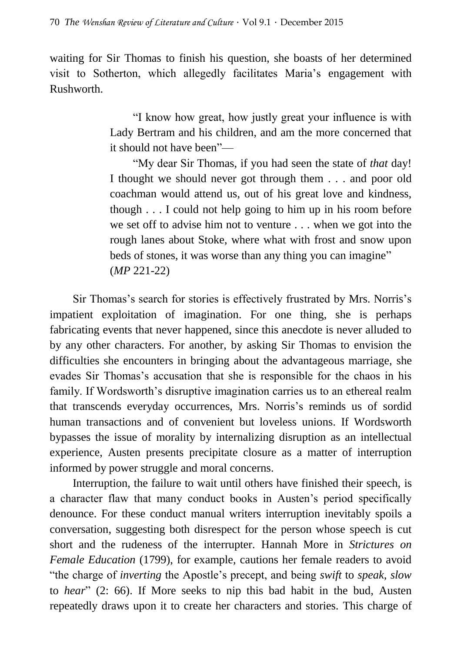waiting for Sir Thomas to finish his question, she boasts of her determined visit to Sotherton, which allegedly facilitates Maria's engagement with Rushworth.

> "I know how great, how justly great your influence is with Lady Bertram and his children, and am the more concerned that it should not have been"—

> "My dear Sir Thomas, if you had seen the state of *that* day! I thought we should never got through them . . . and poor old coachman would attend us, out of his great love and kindness, though . . . I could not help going to him up in his room before we set off to advise him not to venture . . . when we got into the rough lanes about Stoke, where what with frost and snow upon beds of stones, it was worse than any thing you can imagine" (*MP* 221-22)

Sir Thomas's search for stories is effectively frustrated by Mrs. Norris's impatient exploitation of imagination. For one thing, she is perhaps fabricating events that never happened, since this anecdote is never alluded to by any other characters. For another, by asking Sir Thomas to envision the difficulties she encounters in bringing about the advantageous marriage, she evades Sir Thomas's accusation that she is responsible for the chaos in his family. If Wordsworth's disruptive imagination carries us to an ethereal realm that transcends everyday occurrences, Mrs. Norris's reminds us of sordid human transactions and of convenient but loveless unions. If Wordsworth bypasses the issue of morality by internalizing disruption as an intellectual experience, Austen presents precipitate closure as a matter of interruption informed by power struggle and moral concerns.

Interruption, the failure to wait until others have finished their speech, is a character flaw that many conduct books in Austen's period specifically denounce. For these conduct manual writers interruption inevitably spoils a conversation, suggesting both disrespect for the person whose speech is cut short and the rudeness of the interrupter. Hannah More in *Strictures on Female Education* (1799), for example, cautions her female readers to avoid "the charge of *inverting* the Apostle's precept, and being *swift* to *speak*, *slow* to *hear*" (2: 66). If More seeks to nip this bad habit in the bud, Austen repeatedly draws upon it to create her characters and stories. This charge of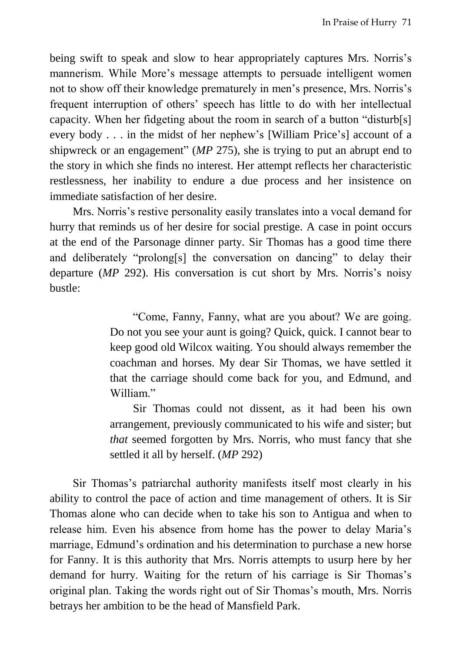being swift to speak and slow to hear appropriately captures Mrs. Norris's mannerism. While More's message attempts to persuade intelligent women not to show off their knowledge prematurely in men's presence, Mrs. Norris's frequent interruption of others' speech has little to do with her intellectual capacity. When her fidgeting about the room in search of a button "disturb[s] every body . . . in the midst of her nephew's [William Price's] account of a shipwreck or an engagement" (*MP* 275), she is trying to put an abrupt end to the story in which she finds no interest. Her attempt reflects her characteristic restlessness, her inability to endure a due process and her insistence on immediate satisfaction of her desire.

Mrs. Norris's restive personality easily translates into a vocal demand for hurry that reminds us of her desire for social prestige. A case in point occurs at the end of the Parsonage dinner party. Sir Thomas has a good time there and deliberately "prolong[s] the conversation on dancing" to delay their departure (*MP* 292). His conversation is cut short by Mrs. Norris's noisy bustle:

> "Come, Fanny, Fanny, what are you about? We are going. Do not you see your aunt is going? Quick, quick. I cannot bear to keep good old Wilcox waiting. You should always remember the coachman and horses. My dear Sir Thomas, we have settled it that the carriage should come back for you, and Edmund, and William."

> Sir Thomas could not dissent, as it had been his own arrangement, previously communicated to his wife and sister; but *that* seemed forgotten by Mrs. Norris, who must fancy that she settled it all by herself. (*MP* 292)

Sir Thomas's patriarchal authority manifests itself most clearly in his ability to control the pace of action and time management of others. It is Sir Thomas alone who can decide when to take his son to Antigua and when to release him. Even his absence from home has the power to delay Maria's marriage, Edmund's ordination and his determination to purchase a new horse for Fanny. It is this authority that Mrs. Norris attempts to usurp here by her demand for hurry. Waiting for the return of his carriage is Sir Thomas's original plan. Taking the words right out of Sir Thomas's mouth, Mrs. Norris betrays her ambition to be the head of Mansfield Park.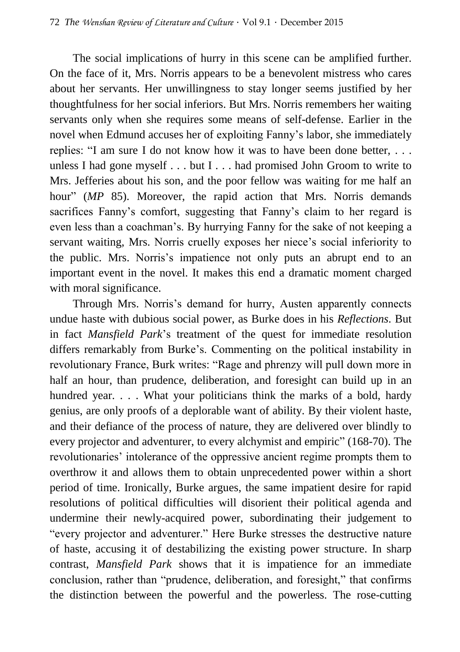The social implications of hurry in this scene can be amplified further. On the face of it, Mrs. Norris appears to be a benevolent mistress who cares about her servants. Her unwillingness to stay longer seems justified by her thoughtfulness for her social inferiors. But Mrs. Norris remembers her waiting servants only when she requires some means of self-defense. Earlier in the novel when Edmund accuses her of exploiting Fanny's labor, she immediately replies: "I am sure I do not know how it was to have been done better, . . . unless I had gone myself . . . but I . . . had promised John Groom to write to Mrs. Jefferies about his son, and the poor fellow was waiting for me half an hour" (*MP* 85). Moreover, the rapid action that Mrs. Norris demands sacrifices Fanny's comfort, suggesting that Fanny's claim to her regard is even less than a coachman's. By hurrying Fanny for the sake of not keeping a servant waiting, Mrs. Norris cruelly exposes her niece's social inferiority to the public. Mrs. Norris's impatience not only puts an abrupt end to an important event in the novel. It makes this end a dramatic moment charged with moral significance.

Through Mrs. Norris's demand for hurry, Austen apparently connects undue haste with dubious social power, as Burke does in his *Reflections*. But in fact *Mansfield Park*'s treatment of the quest for immediate resolution differs remarkably from Burke's. Commenting on the political instability in revolutionary France, Burk writes: "Rage and phrenzy will pull down more in half an hour, than prudence, deliberation, and foresight can build up in an hundred year. . . . What your politicians think the marks of a bold, hardy genius, are only proofs of a deplorable want of ability. By their violent haste, and their defiance of the process of nature, they are delivered over blindly to every projector and adventurer, to every alchymist and empiric" (168-70). The revolutionaries' intolerance of the oppressive ancient regime prompts them to overthrow it and allows them to obtain unprecedented power within a short period of time. Ironically, Burke argues, the same impatient desire for rapid resolutions of political difficulties will disorient their political agenda and undermine their newly-acquired power, subordinating their judgement to "every projector and adventurer." Here Burke stresses the destructive nature of haste, accusing it of destabilizing the existing power structure. In sharp contrast, *Mansfield Park* shows that it is impatience for an immediate conclusion, rather than "prudence, deliberation, and foresight," that confirms the distinction between the powerful and the powerless. The rose-cutting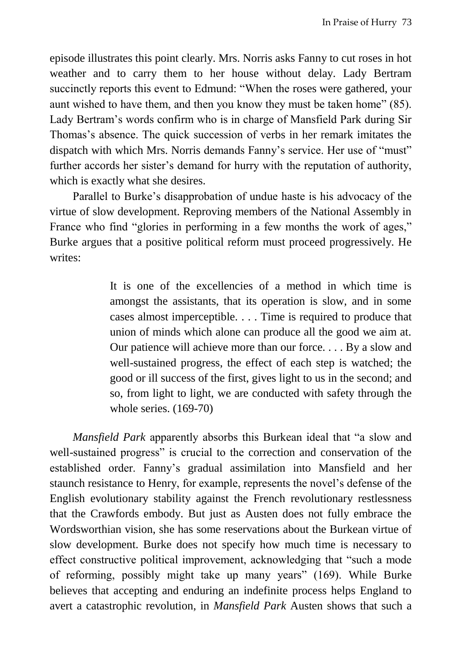episode illustrates this point clearly. Mrs. Norris asks Fanny to cut roses in hot weather and to carry them to her house without delay. Lady Bertram succinctly reports this event to Edmund: "When the roses were gathered, your aunt wished to have them, and then you know they must be taken home" (85). Lady Bertram's words confirm who is in charge of Mansfield Park during Sir Thomas's absence. The quick succession of verbs in her remark imitates the dispatch with which Mrs. Norris demands Fanny's service. Her use of "must" further accords her sister's demand for hurry with the reputation of authority, which is exactly what she desires.

Parallel to Burke's disapprobation of undue haste is his advocacy of the virtue of slow development. Reproving members of the National Assembly in France who find "glories in performing in a few months the work of ages," Burke argues that a positive political reform must proceed progressively. He writes:

> It is one of the excellencies of a method in which time is amongst the assistants, that its operation is slow, and in some cases almost imperceptible. . . . Time is required to produce that union of minds which alone can produce all the good we aim at. Our patience will achieve more than our force. . . . By a slow and well-sustained progress, the effect of each step is watched; the good or ill success of the first, gives light to us in the second; and so, from light to light, we are conducted with safety through the whole series.  $(169-70)$

*Mansfield Park* apparently absorbs this Burkean ideal that "a slow and well-sustained progress" is crucial to the correction and conservation of the established order. Fanny's gradual assimilation into Mansfield and her staunch resistance to Henry, for example, represents the novel's defense of the English evolutionary stability against the French revolutionary restlessness that the Crawfords embody. But just as Austen does not fully embrace the Wordsworthian vision, she has some reservations about the Burkean virtue of slow development. Burke does not specify how much time is necessary to effect constructive political improvement, acknowledging that "such a mode of reforming, possibly might take up many years" (169). While Burke believes that accepting and enduring an indefinite process helps England to avert a catastrophic revolution, in *Mansfield Park* Austen shows that such a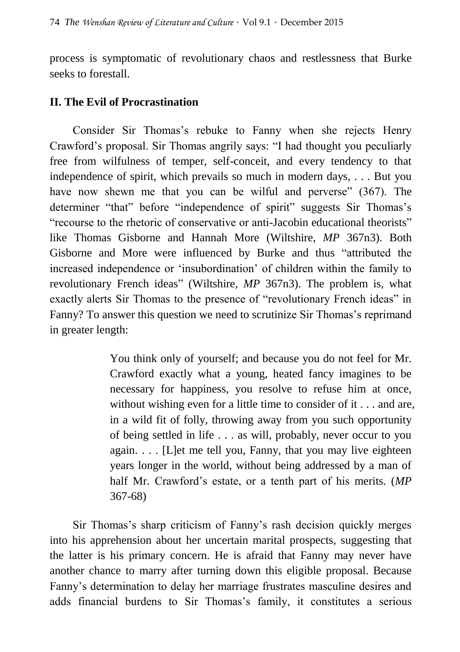process is symptomatic of revolutionary chaos and restlessness that Burke seeks to forestall.

## **II. The Evil of Procrastination**

Consider Sir Thomas's rebuke to Fanny when she rejects Henry Crawford's proposal. Sir Thomas angrily says: "I had thought you peculiarly free from wilfulness of temper, self-conceit, and every tendency to that independence of spirit, which prevails so much in modern days, . . . But you have now shewn me that you can be wilful and perverse" (367). The determiner "that" before "independence of spirit" suggests Sir Thomas's "recourse to the rhetoric of conservative or anti-Jacobin educational theorists" like Thomas Gisborne and Hannah More (Wiltshire, *MP* 367n3). Both Gisborne and More were influenced by Burke and thus "attributed the increased independence or 'insubordination' of children within the family to revolutionary French ideas" (Wiltshire, *MP* 367n3). The problem is, what exactly alerts Sir Thomas to the presence of "revolutionary French ideas" in Fanny? To answer this question we need to scrutinize Sir Thomas's reprimand in greater length:

> You think only of yourself; and because you do not feel for Mr. Crawford exactly what a young, heated fancy imagines to be necessary for happiness, you resolve to refuse him at once, without wishing even for a little time to consider of it . . . and are, in a wild fit of folly, throwing away from you such opportunity of being settled in life . . . as will, probably, never occur to you again.  $\ldots$  [L]et me tell you, Fanny, that you may live eighteen years longer in the world, without being addressed by a man of half Mr. Crawford's estate, or a tenth part of his merits. (*MP*  367-68)

Sir Thomas's sharp criticism of Fanny's rash decision quickly merges into his apprehension about her uncertain marital prospects, suggesting that the latter is his primary concern. He is afraid that Fanny may never have another chance to marry after turning down this eligible proposal. Because Fanny's determination to delay her marriage frustrates masculine desires and adds financial burdens to Sir Thomas's family, it constitutes a serious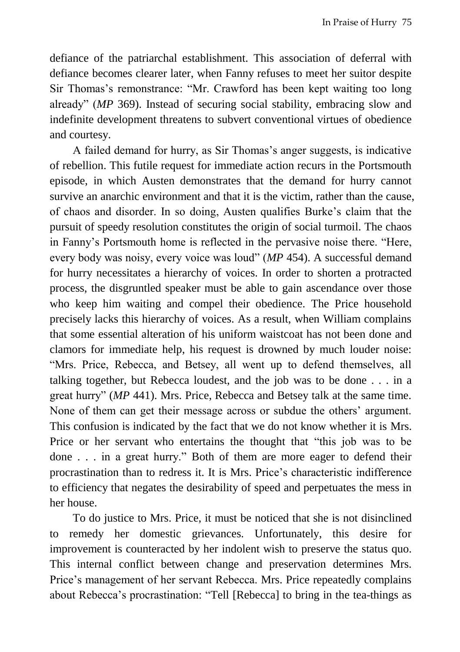defiance of the patriarchal establishment. This association of deferral with defiance becomes clearer later, when Fanny refuses to meet her suitor despite Sir Thomas's remonstrance: "Mr. Crawford has been kept waiting too long already" (*MP* 369). Instead of securing social stability, embracing slow and indefinite development threatens to subvert conventional virtues of obedience and courtesy.

A failed demand for hurry, as Sir Thomas's anger suggests, is indicative of rebellion. This futile request for immediate action recurs in the Portsmouth episode, in which Austen demonstrates that the demand for hurry cannot survive an anarchic environment and that it is the victim, rather than the cause, of chaos and disorder. In so doing, Austen qualifies Burke's claim that the pursuit of speedy resolution constitutes the origin of social turmoil. The chaos in Fanny's Portsmouth home is reflected in the pervasive noise there. "Here, every body was noisy, every voice was loud" (*MP* 454). A successful demand for hurry necessitates a hierarchy of voices. In order to shorten a protracted process, the disgruntled speaker must be able to gain ascendance over those who keep him waiting and compel their obedience. The Price household precisely lacks this hierarchy of voices. As a result, when William complains that some essential alteration of his uniform waistcoat has not been done and clamors for immediate help, his request is drowned by much louder noise: "Mrs. Price, Rebecca, and Betsey, all went up to defend themselves, all talking together, but Rebecca loudest, and the job was to be done . . . in a great hurry" (*MP* 441). Mrs. Price, Rebecca and Betsey talk at the same time. None of them can get their message across or subdue the others' argument. This confusion is indicated by the fact that we do not know whether it is Mrs. Price or her servant who entertains the thought that "this job was to be done . . . in a great hurry." Both of them are more eager to defend their procrastination than to redress it. It is Mrs. Price's characteristic indifference to efficiency that negates the desirability of speed and perpetuates the mess in her house.

To do justice to Mrs. Price, it must be noticed that she is not disinclined to remedy her domestic grievances. Unfortunately, this desire for improvement is counteracted by her indolent wish to preserve the status quo. This internal conflict between change and preservation determines Mrs. Price's management of her servant Rebecca. Mrs. Price repeatedly complains about Rebecca's procrastination: "Tell [Rebecca] to bring in the tea-things as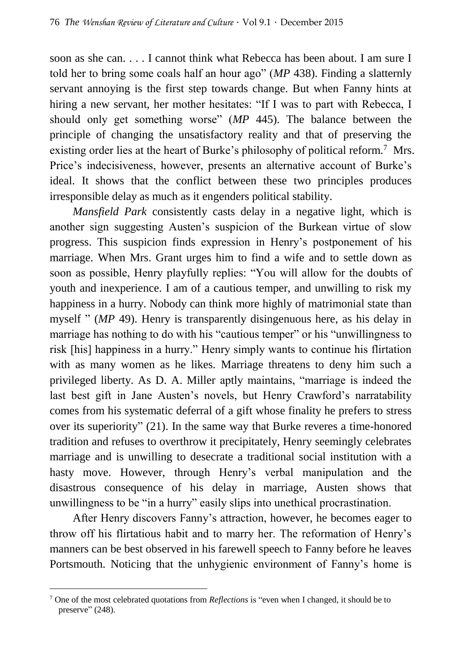soon as she can. . . . I cannot think what Rebecca has been about. I am sure I told her to bring some coals half an hour ago" (*MP* 438). Finding a slatternly servant annoying is the first step towards change. But when Fanny hints at hiring a new servant, her mother hesitates: "If I was to part with Rebecca, I should only get something worse" (*MP* 445). The balance between the principle of changing the unsatisfactory reality and that of preserving the existing order lies at the heart of Burke's philosophy of political reform.<sup>7</sup> Mrs. Price's indecisiveness, however, presents an alternative account of Burke's ideal. It shows that the conflict between these two principles produces irresponsible delay as much as it engenders political stability.

*Mansfield Park* consistently casts delay in a negative light, which is another sign suggesting Austen's suspicion of the Burkean virtue of slow progress. This suspicion finds expression in Henry's postponement of his marriage. When Mrs. Grant urges him to find a wife and to settle down as soon as possible, Henry playfully replies: "You will allow for the doubts of youth and inexperience. I am of a cautious temper, and unwilling to risk my happiness in a hurry. Nobody can think more highly of matrimonial state than myself " (*MP* 49). Henry is transparently disingenuous here, as his delay in marriage has nothing to do with his "cautious temper" or his "unwillingness to risk [his] happiness in a hurry." Henry simply wants to continue his flirtation with as many women as he likes. Marriage threatens to deny him such a privileged liberty. As D. A. Miller aptly maintains, "marriage is indeed the last best gift in Jane Austen's novels, but Henry Crawford's narratability comes from his systematic deferral of a gift whose finality he prefers to stress over its superiority" (21). In the same way that Burke reveres a time-honored tradition and refuses to overthrow it precipitately, Henry seemingly celebrates marriage and is unwilling to desecrate a traditional social institution with a hasty move. However, through Henry's verbal manipulation and the disastrous consequence of his delay in marriage, Austen shows that unwillingness to be "in a hurry" easily slips into unethical procrastination.

After Henry discovers Fanny's attraction, however, he becomes eager to throw off his flirtatious habit and to marry her. The reformation of Henry's manners can be best observed in his farewell speech to Fanny before he leaves Portsmouth. Noticing that the unhygienic environment of Fanny's home is

 $\overline{\phantom{a}}$ 

<sup>7</sup> One of the most celebrated quotations from *Reflections* is "even when I changed, it should be to preserve" (248).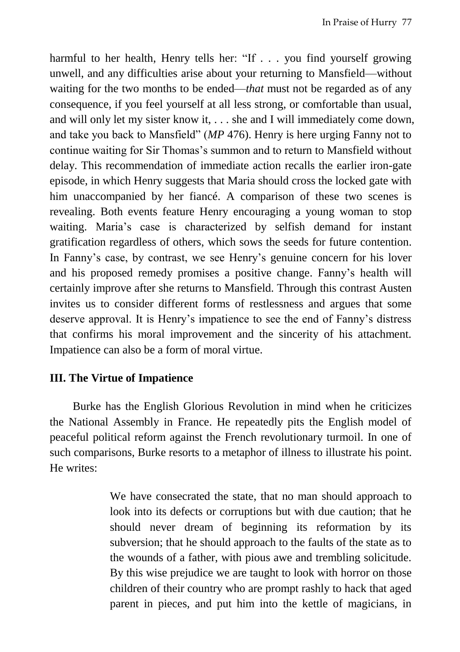harmful to her health. Henry tells her: "If . . . you find yourself growing unwell, and any difficulties arise about your returning to Mansfield—without waiting for the two months to be ended—*that* must not be regarded as of any consequence, if you feel yourself at all less strong, or comfortable than usual, and will only let my sister know it, . . . she and I will immediately come down, and take you back to Mansfield" (*MP* 476). Henry is here urging Fanny not to continue waiting for Sir Thomas's summon and to return to Mansfield without delay. This recommendation of immediate action recalls the earlier iron-gate episode, in which Henry suggests that Maria should cross the locked gate with him unaccompanied by her fiancé. A comparison of these two scenes is revealing. Both events feature Henry encouraging a young woman to stop waiting. Maria's case is characterized by selfish demand for instant gratification regardless of others, which sows the seeds for future contention. In Fanny's case, by contrast, we see Henry's genuine concern for his lover and his proposed remedy promises a positive change. Fanny's health will certainly improve after she returns to Mansfield. Through this contrast Austen invites us to consider different forms of restlessness and argues that some deserve approval. It is Henry's impatience to see the end of Fanny's distress that confirms his moral improvement and the sincerity of his attachment. Impatience can also be a form of moral virtue.

## **III. The Virtue of Impatience**

Burke has the English Glorious Revolution in mind when he criticizes the National Assembly in France. He repeatedly pits the English model of peaceful political reform against the French revolutionary turmoil. In one of such comparisons, Burke resorts to a metaphor of illness to illustrate his point. He writes:

> We have consecrated the state, that no man should approach to look into its defects or corruptions but with due caution; that he should never dream of beginning its reformation by its subversion; that he should approach to the faults of the state as to the wounds of a father, with pious awe and trembling solicitude. By this wise prejudice we are taught to look with horror on those children of their country who are prompt rashly to hack that aged parent in pieces, and put him into the kettle of magicians, in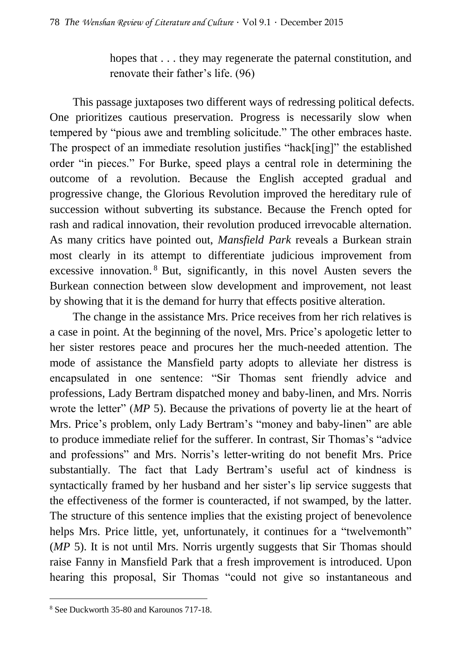hopes that  $\dots$  they may regenerate the paternal constitution, and renovate their father's life. (96)

This passage juxtaposes two different ways of redressing political defects. One prioritizes cautious preservation. Progress is necessarily slow when tempered by "pious awe and trembling solicitude." The other embraces haste. The prospect of an immediate resolution justifies "hack[ing]" the established order "in pieces." For Burke, speed plays a central role in determining the outcome of a revolution. Because the English accepted gradual and progressive change, the Glorious Revolution improved the hereditary rule of succession without subverting its substance. Because the French opted for rash and radical innovation, their revolution produced irrevocable alternation. As many critics have pointed out, *Mansfield Park* reveals a Burkean strain most clearly in its attempt to differentiate judicious improvement from excessive innovation. <sup>8</sup> But, significantly, in this novel Austen severs the Burkean connection between slow development and improvement, not least by showing that it is the demand for hurry that effects positive alteration.

The change in the assistance Mrs. Price receives from her rich relatives is a case in point. At the beginning of the novel, Mrs. Price's apologetic letter to her sister restores peace and procures her the much-needed attention. The mode of assistance the Mansfield party adopts to alleviate her distress is encapsulated in one sentence: "Sir Thomas sent friendly advice and professions, Lady Bertram dispatched money and baby-linen, and Mrs. Norris wrote the letter" (*MP* 5). Because the privations of poverty lie at the heart of Mrs. Price's problem, only Lady Bertram's "money and baby-linen" are able to produce immediate relief for the sufferer. In contrast, Sir Thomas's "advice and professions" and Mrs. Norris's letter-writing do not benefit Mrs. Price substantially. The fact that Lady Bertram's useful act of kindness is syntactically framed by her husband and her sister's lip service suggests that the effectiveness of the former is counteracted, if not swamped, by the latter. The structure of this sentence implies that the existing project of benevolence helps Mrs. Price little, yet, unfortunately, it continues for a "twelvemonth" (*MP* 5). It is not until Mrs. Norris urgently suggests that Sir Thomas should raise Fanny in Mansfield Park that a fresh improvement is introduced. Upon hearing this proposal, Sir Thomas "could not give so instantaneous and

 $\overline{a}$ 

<sup>8</sup> See Duckworth 35-80 and Karounos 717-18.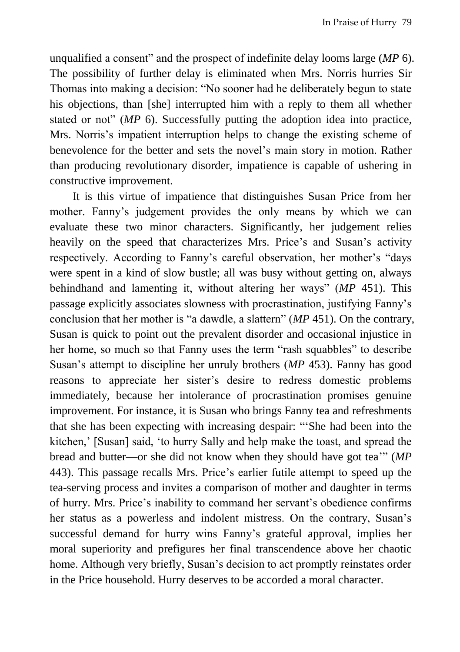unqualified a consent" and the prospect of indefinite delay looms large (*MP* 6). The possibility of further delay is eliminated when Mrs. Norris hurries Sir Thomas into making a decision: "No sooner had he deliberately begun to state his objections, than [she] interrupted him with a reply to them all whether stated or not" (*MP* 6). Successfully putting the adoption idea into practice, Mrs. Norris's impatient interruption helps to change the existing scheme of benevolence for the better and sets the novel's main story in motion. Rather than producing revolutionary disorder, impatience is capable of ushering in constructive improvement.

It is this virtue of impatience that distinguishes Susan Price from her mother. Fanny's judgement provides the only means by which we can evaluate these two minor characters. Significantly, her judgement relies heavily on the speed that characterizes Mrs. Price's and Susan's activity respectively. According to Fanny's careful observation, her mother's "days were spent in a kind of slow bustle; all was busy without getting on, always behindhand and lamenting it, without altering her ways" (*MP* 451). This passage explicitly associates slowness with procrastination, justifying Fanny's conclusion that her mother is "a dawdle, a slattern" (*MP* 451). On the contrary, Susan is quick to point out the prevalent disorder and occasional injustice in her home, so much so that Fanny uses the term "rash squabbles" to describe Susan's attempt to discipline her unruly brothers (*MP* 453). Fanny has good reasons to appreciate her sister's desire to redress domestic problems immediately, because her intolerance of procrastination promises genuine improvement. For instance, it is Susan who brings Fanny tea and refreshments that she has been expecting with increasing despair: "'She had been into the kitchen,' [Susan] said, 'to hurry Sally and help make the toast, and spread the bread and butter—or she did not know when they should have got tea'" (*MP*  443). This passage recalls Mrs. Price's earlier futile attempt to speed up the tea-serving process and invites a comparison of mother and daughter in terms of hurry. Mrs. Price's inability to command her servant's obedience confirms her status as a powerless and indolent mistress. On the contrary, Susan's successful demand for hurry wins Fanny's grateful approval, implies her moral superiority and prefigures her final transcendence above her chaotic home. Although very briefly, Susan's decision to act promptly reinstates order in the Price household. Hurry deserves to be accorded a moral character.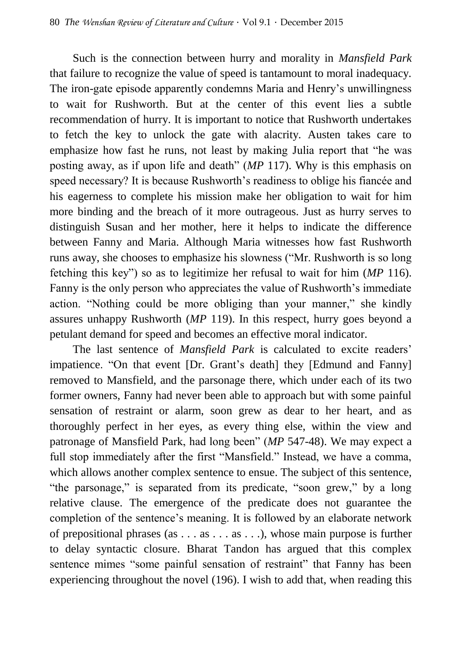Such is the connection between hurry and morality in *Mansfield Park* that failure to recognize the value of speed is tantamount to moral inadequacy. The iron-gate episode apparently condemns Maria and Henry's unwillingness to wait for Rushworth. But at the center of this event lies a subtle recommendation of hurry. It is important to notice that Rushworth undertakes to fetch the key to unlock the gate with alacrity. Austen takes care to emphasize how fast he runs, not least by making Julia report that "he was posting away, as if upon life and death" (*MP* 117). Why is this emphasis on speed necessary? It is because Rushworth's readiness to oblige his fiancée and his eagerness to complete his mission make her obligation to wait for him more binding and the breach of it more outrageous. Just as hurry serves to distinguish Susan and her mother, here it helps to indicate the difference between Fanny and Maria. Although Maria witnesses how fast Rushworth runs away, she chooses to emphasize his slowness ("Mr. Rushworth is so long fetching this key") so as to legitimize her refusal to wait for him (*MP* 116). Fanny is the only person who appreciates the value of Rushworth's immediate action. "Nothing could be more obliging than your manner," she kindly assures unhappy Rushworth (*MP* 119). In this respect, hurry goes beyond a petulant demand for speed and becomes an effective moral indicator.

The last sentence of *Mansfield Park* is calculated to excite readers' impatience. "On that event [Dr. Grant's death] they [Edmund and Fanny] removed to Mansfield, and the parsonage there, which under each of its two former owners, Fanny had never been able to approach but with some painful sensation of restraint or alarm, soon grew as dear to her heart, and as thoroughly perfect in her eyes, as every thing else, within the view and patronage of Mansfield Park, had long been" (*MP* 547-48). We may expect a full stop immediately after the first "Mansfield." Instead, we have a comma, which allows another complex sentence to ensue. The subject of this sentence, "the parsonage," is separated from its predicate, "soon grew," by a long relative clause. The emergence of the predicate does not guarantee the completion of the sentence's meaning. It is followed by an elaborate network of prepositional phrases (as . . . as . . . as . . .), whose main purpose is further to delay syntactic closure. Bharat Tandon has argued that this complex sentence mimes "some painful sensation of restraint" that Fanny has been experiencing throughout the novel (196). I wish to add that, when reading this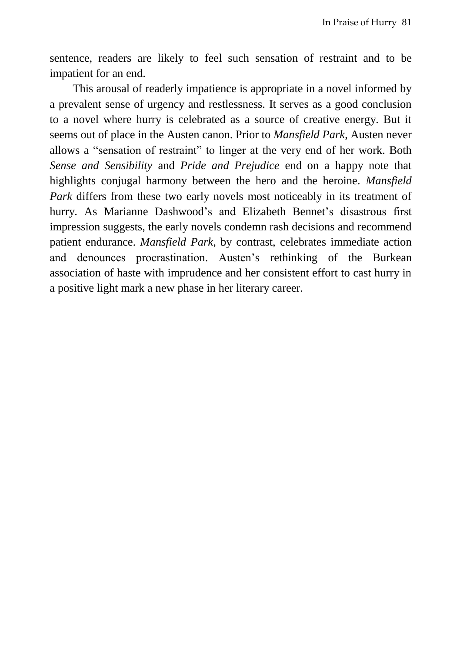sentence, readers are likely to feel such sensation of restraint and to be impatient for an end.

This arousal of readerly impatience is appropriate in a novel informed by a prevalent sense of urgency and restlessness. It serves as a good conclusion to a novel where hurry is celebrated as a source of creative energy. But it seems out of place in the Austen canon. Prior to *Mansfield Park*, Austen never allows a "sensation of restraint" to linger at the very end of her work. Both *Sense and Sensibility* and *Pride and Prejudice* end on a happy note that highlights conjugal harmony between the hero and the heroine. *Mansfield Park* differs from these two early novels most noticeably in its treatment of hurry. As Marianne Dashwood's and Elizabeth Bennet's disastrous first impression suggests, the early novels condemn rash decisions and recommend patient endurance. *Mansfield Park*, by contrast, celebrates immediate action and denounces procrastination. Austen's rethinking of the Burkean association of haste with imprudence and her consistent effort to cast hurry in a positive light mark a new phase in her literary career.